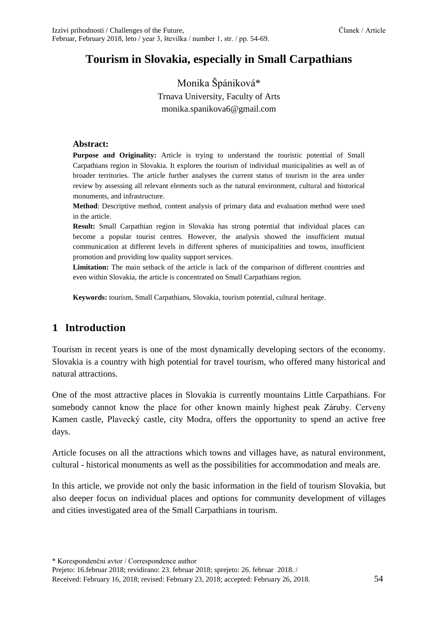# **Tourism in Slovakia, especially in Small Carpathians**

# Monika Špániková\* Trnava University, Faculty of Arts monika.spanikova6@gmail.com

#### **Abstract:**

**Purpose and Originality:** Article is trying to understand the touristic potential of Small Carpathians region in Slovakia. It explores the tourism of individual municipalities as well as of broader territories. The article further analyses the current status of tourism in the area under review by assessing all relevant elements such as the natural environment, cultural and historical monuments, and infrastructure.

**Method**: Descriptive method, content analysis of primary data and evaluation method were used in the article.

**Result:** Small Carpathian region in Slovakia has strong potential that individual places can become a popular tourist centres. However, the analysis showed the insufficient mutual communication at different levels in different spheres of municipalities and towns, insufficient promotion and providing low quality support services.

**Limitation:** The main setback of the article is lack of the comparison of different countries and even within Slovakia, the article is concentrated on Small Carpathians region.

**Keywords:** tourism, Small Carpathians, Slovakia, tourism potential, cultural heritage.

# **1 Introduction**

Tourism in recent years is one of the most dynamically developing sectors of the economy. Slovakia is a country with high potential for travel tourism, who offered many historical and natural attractions.

One of the most attractive places in Slovakia is currently mountains Little Carpathians. For somebody cannot know the place for other known mainly highest peak Záruby. Cerveny Kamen castle, Plavecký castle, city Modra, offers the opportunity to spend an active free days.

Article focuses on all the attractions which towns and villages have, as natural environment, cultural - historical monuments as well as the possibilities for accommodation and meals are.

In this article, we provide not only the basic information in the field of tourism Slovakia, but also deeper focus on individual places and options for community development of villages and cities investigated area of the Small Carpathians in tourism.

\* Korespondenčni avtor / Correspondence author

Prejeto: 16.februar 2018; revidirano: 23. februar 2018; sprejeto: 26. februar 2018. / Received: February 16, 2018; revised: February 23, 2018; accepted: February 26, 2018. 54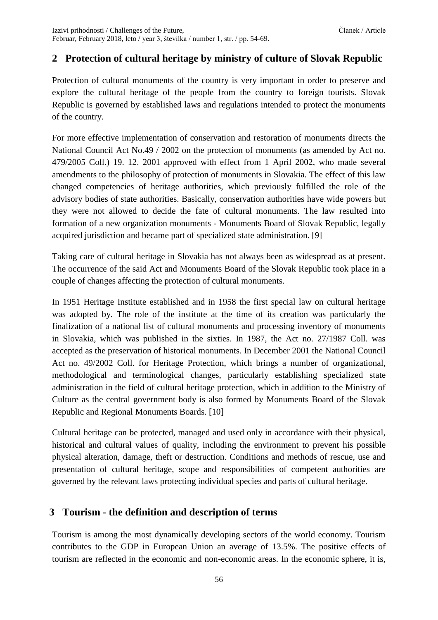# **2 Protection of cultural heritage by ministry of culture of Slovak Republic**

Protection of cultural monuments of the country is very important in order to preserve and explore the cultural heritage of the people from the country to foreign tourists. Slovak Republic is governed by established laws and regulations intended to protect the monuments of the country.

For more effective implementation of conservation and restoration of monuments directs the National Council Act No.49 / 2002 on the protection of monuments (as amended by Act no. 479/2005 Coll.) 19. 12. 2001 approved with effect from 1 April 2002, who made several amendments to the philosophy of protection of monuments in Slovakia. The effect of this law changed competencies of heritage authorities, which previously fulfilled the role of the advisory bodies of state authorities. Basically, conservation authorities have wide powers but they were not allowed to decide the fate of cultural monuments. The law resulted into formation of a new organization monuments - Monuments Board of Slovak Republic, legally acquired jurisdiction and became part of specialized state administration. [9]

Taking care of cultural heritage in Slovakia has not always been as widespread as at present. The occurrence of the said Act and Monuments Board of the Slovak Republic took place in a couple of changes affecting the protection of cultural monuments.

In 1951 Heritage Institute established and in 1958 the first special law on cultural heritage was adopted by. The role of the institute at the time of its creation was particularly the finalization of a national list of cultural monuments and processing inventory of monuments in Slovakia, which was published in the sixties. In 1987, the Act no. 27/1987 Coll. was accepted as the preservation of historical monuments. In December 2001 the National Council Act no. 49/2002 Coll. for Heritage Protection, which brings a number of organizational, methodological and terminological changes, particularly establishing specialized state administration in the field of cultural heritage protection, which in addition to the Ministry of Culture as the central government body is also formed by Monuments Board of the Slovak Republic and Regional Monuments Boards. [10]

Cultural heritage can be protected, managed and used only in accordance with their physical, historical and cultural values of quality, including the environment to prevent his possible physical alteration, damage, theft or destruction. Conditions and methods of rescue, use and presentation of cultural heritage, scope and responsibilities of competent authorities are governed by the relevant laws protecting individual species and parts of cultural heritage.

### **3 Tourism - the definition and description of terms**

Tourism is among the most dynamically developing sectors of the world economy. Tourism contributes to the GDP in European Union an average of 13.5%. The positive effects of tourism are reflected in the economic and non-economic areas. In the economic sphere, it is,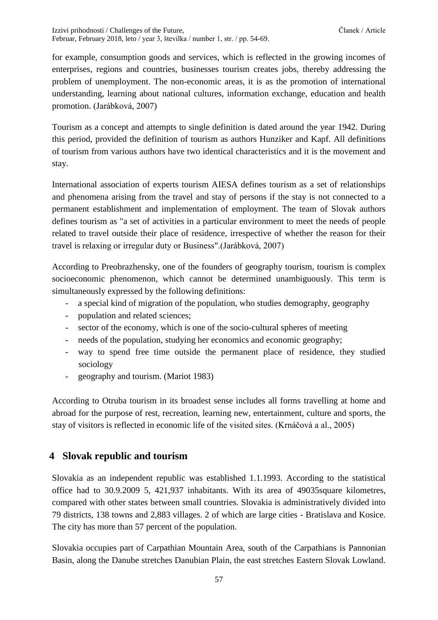for example, consumption goods and services, which is reflected in the growing incomes of enterprises, regions and countries, businesses tourism creates jobs, thereby addressing the problem of unemployment. The non-economic areas, it is as the promotion of international understanding, learning about national cultures, information exchange, education and health promotion. (Jarábková, 2007)

Tourism as a concept and attempts to single definition is dated around the year 1942. During this period, provided the definition of tourism as authors Hunziker and Kapf. All definitions of tourism from various authors have two identical characteristics and it is the movement and stay.

International association of experts tourism AIESA defines tourism as a set of relationships and phenomena arising from the travel and stay of persons if the stay is not connected to a permanent establishment and implementation of employment. The team of Slovak authors defines tourism as "a set of activities in a particular environment to meet the needs of people related to travel outside their place of residence, irrespective of whether the reason for their travel is relaxing or irregular duty or Business".(Jarábková, 2007)

According to Preobrazhensky, one of the founders of geography tourism, tourism is complex socioeconomic phenomenon, which cannot be determined unambiguously. This term is simultaneously expressed by the following definitions:

- a special kind of migration of the population, who studies demography, geography
- population and related sciences;
- sector of the economy, which is one of the socio-cultural spheres of meeting
- needs of the population, studying her economics and economic geography;
- way to spend free time outside the permanent place of residence, they studied sociology
- geography and tourism. (Mariot 1983)

According to Otruba tourism in its broadest sense includes all forms travelling at home and abroad for the purpose of rest, recreation, learning new, entertainment, culture and sports, the stay of visitors is reflected in economic life of the visited sites. (Krnáčová a al., 2005)

# **4 Slovak republic and tourism**

Slovakia as an independent republic was established 1.1.1993. According to the statistical office had to 30.9.2009 5, 421,937 inhabitants. With its area of 49035square kilometres, compared with other states between small countries. Slovakia is administratively divided into 79 districts, 138 towns and 2,883 villages. 2 of which are large cities - Bratislava and Kosice. The city has more than 57 percent of the population.

Slovakia occupies part of Carpathian Mountain Area, south of the Carpathians is Pannonian Basin, along the Danube stretches Danubian Plain, the east stretches Eastern Slovak Lowland.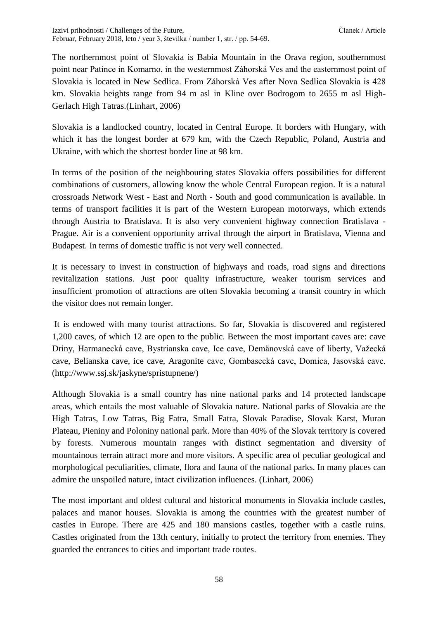The northernmost point of Slovakia is Babia Mountain in the Orava region, southernmost point near Patince in Komarno, in the westernmost Záhorská Ves and the easternmost point of Slovakia is located in New Sedlica. From Záhorská Ves after Nova Sedlica Slovakia is 428 km. Slovakia heights range from 94 m asl in Kline over Bodrogom to 2655 m asl High-Gerlach High Tatras.(Linhart, 2006)

Slovakia is a landlocked country, located in Central Europe. It borders with Hungary, with which it has the longest border at 679 km, with the Czech Republic, Poland, Austria and Ukraine, with which the shortest border line at 98 km.

In terms of the position of the neighbouring states Slovakia offers possibilities for different combinations of customers, allowing know the whole Central European region. It is a natural crossroads Network West - East and North - South and good communication is available. In terms of transport facilities it is part of the Western European motorways, which extends through Austria to Bratislava. It is also very convenient highway connection Bratislava - Prague. Air is a convenient opportunity arrival through the airport in Bratislava, Vienna and Budapest. In terms of domestic traffic is not very well connected.

It is necessary to invest in construction of highways and roads, road signs and directions revitalization stations. Just poor quality infrastructure, weaker tourism services and insufficient promotion of attractions are often Slovakia becoming a transit country in which the visitor does not remain longer.

It is endowed with many tourist attractions. So far, Slovakia is discovered and registered 1,200 caves, of which 12 are open to the public. Between the most important caves are: cave Driny, Harmanecká cave, Bystrianska cave, Ice cave, Demänovská cave of liberty, Važecká cave, Belianska cave, ice cave, Aragonite cave, Gombasecká cave, Domica, Jasovská cave. (http://www.ssj.sk/jaskyne/spristupnene/)

Although Slovakia is a small country has nine national parks and 14 protected landscape areas, which entails the most valuable of Slovakia nature. National parks of Slovakia are the High Tatras, Low Tatras, Big Fatra, Small Fatra, Slovak Paradise, Slovak Karst, Muran Plateau, Pieniny and Poloniny national park. More than 40% of the Slovak territory is covered by forests. Numerous mountain ranges with distinct segmentation and diversity of mountainous terrain attract more and more visitors. A specific area of peculiar geological and morphological peculiarities, climate, flora and fauna of the national parks. In many places can admire the unspoiled nature, intact civilization influences. (Linhart, 2006)

The most important and oldest cultural and historical monuments in Slovakia include castles, palaces and manor houses. Slovakia is among the countries with the greatest number of castles in Europe. There are 425 and 180 mansions castles, together with a castle ruins. Castles originated from the 13th century, initially to protect the territory from enemies. They guarded the entrances to cities and important trade routes.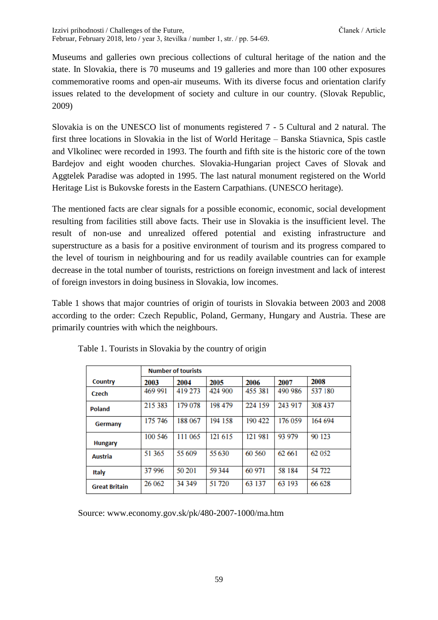Museums and galleries own precious collections of cultural heritage of the nation and the state. In Slovakia, there is 70 museums and 19 galleries and more than 100 other exposures commemorative rooms and open-air museums. With its diverse focus and orientation clarify issues related to the development of society and culture in our country. (Slovak Republic, 2009)

Slovakia is on the UNESCO list of monuments registered 7 - 5 Cultural and 2 natural. The first three locations in Slovakia in the list of World Heritage – Banska Stiavnica, Spis castle and Vlkolinec were recorded in 1993. The fourth and fifth site is the historic core of the town Bardejov and eight wooden churches. Slovakia-Hungarian project Caves of Slovak and Aggtelek Paradise was adopted in 1995. The last natural monument registered on the World Heritage List is Bukovske forests in the Eastern Carpathians. (UNESCO heritage).

The mentioned facts are clear signals for a possible economic, economic, social development resulting from facilities still above facts. Their use in Slovakia is the insufficient level. The result of non-use and unrealized offered potential and existing infrastructure and superstructure as a basis for a positive environment of tourism and its progress compared to the level of tourism in neighbouring and for us readily available countries can for example decrease in the total number of tourists, restrictions on foreign investment and lack of interest of foreign investors in doing business in Slovakia, low incomes.

Table 1 shows that major countries of origin of tourists in Slovakia between 2003 and 2008 according to the order: Czech Republic, Poland, Germany, Hungary and Austria. These are primarily countries with which the neighbours.

|                      | <b>Number of tourists</b> |         |         |         |         |         |
|----------------------|---------------------------|---------|---------|---------|---------|---------|
| Country              | 2003                      | 2004    | 2005    | 2006    | 2007    | 2008    |
| Czech                | 469 991                   | 419 273 | 424 900 | 455 381 | 490 986 | 537 180 |
| Poland               | 215 383                   | 179 078 | 198 479 | 224 159 | 243 917 | 308 437 |
| Germany              | 175 746                   | 188 067 | 194 158 | 190 422 | 176 059 | 164 694 |
| <b>Hungary</b>       | 100 546                   | 111 065 | 121 615 | 121 981 | 93 979  | 90 123  |
| Austria              | 51 365                    | 55 609  | 55630   | 60 560  | 62 661  | 62 052  |
| <b>Italy</b>         | 37996                     | 50 201  | 59 344  | 60 971  | 58 184  | 54 722  |
| <b>Great Britain</b> | 26 062                    | 34 349  | 51 720  | 63 137  | 63 193  | 66 628  |

Table 1. Tourists in Slovakia by the country of origin

Source: www.economy.gov.sk/pk/480-2007-1000/ma.htm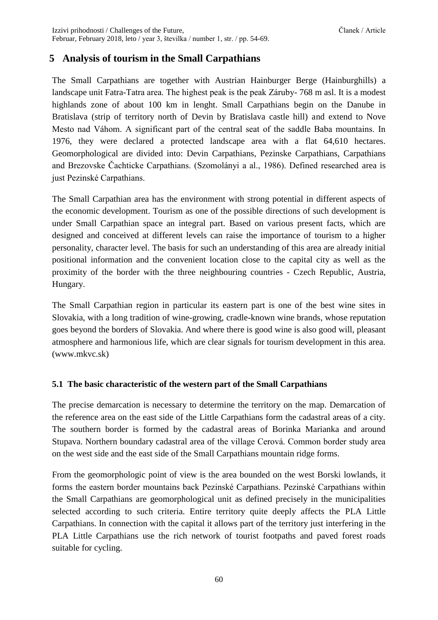### **5 Analysis of tourism in the Small Carpathians**

The Small Carpathians are together with Austrian Hainburger Berge (Hainburghills) a landscape unit Fatra-Tatra area. The highest peak is the peak Záruby- 768 m asl. It is a modest highlands zone of about 100 km in lenght. Small Carpathians begin on the Danube in Bratislava (strip of territory north of Devin by Bratislava castle hill) and extend to Nove Mesto nad Váhom. A significant part of the central seat of the saddle Baba mountains. In 1976, they were declared a protected landscape area with a flat 64,610 hectares. Geomorphological are divided into: Devin Carpathians, Pezinske Carpathians, Carpathians and Brezovske Čachticke Carpathians. (Szomolányi a al., 1986). Defined researched area is just Pezinské Carpathians.

The Small Carpathian area has the environment with strong potential in different aspects of the economic development. Tourism as one of the possible directions of such development is under Small Carpathian space an integral part. Based on various present facts, which are designed and conceived at different levels can raise the importance of tourism to a higher personality, character level. The basis for such an understanding of this area are already initial positional information and the convenient location close to the capital city as well as the proximity of the border with the three neighbouring countries - Czech Republic, Austria, Hungary.

The Small Carpathian region in particular its eastern part is one of the best wine sites in Slovakia, with a long tradition of wine-growing, cradle-known wine brands, whose reputation goes beyond the borders of Slovakia. And where there is good wine is also good will, pleasant atmosphere and harmonious life, which are clear signals for tourism development in this area. (www.mkvc.sk)

#### **5.1 The basic characteristic of the western part of the Small Carpathians**

The precise demarcation is necessary to determine the territory on the map. Demarcation of the reference area on the east side of the Little Carpathians form the cadastral areas of a city. The southern border is formed by the cadastral areas of Borinka Marianka and around Stupava. Northern boundary cadastral area of the village Cerová. Common border study area on the west side and the east side of the Small Carpathians mountain ridge forms.

From the geomorphologic point of view is the area bounded on the west Borski lowlands, it forms the eastern border mountains back Pezinské Carpathians. Pezinské Carpathians within the Small Carpathians are geomorphological unit as defined precisely in the municipalities selected according to such criteria. Entire territory quite deeply affects the PLA Little Carpathians. In connection with the capital it allows part of the territory just interfering in the PLA Little Carpathians use the rich network of tourist footpaths and paved forest roads suitable for cycling.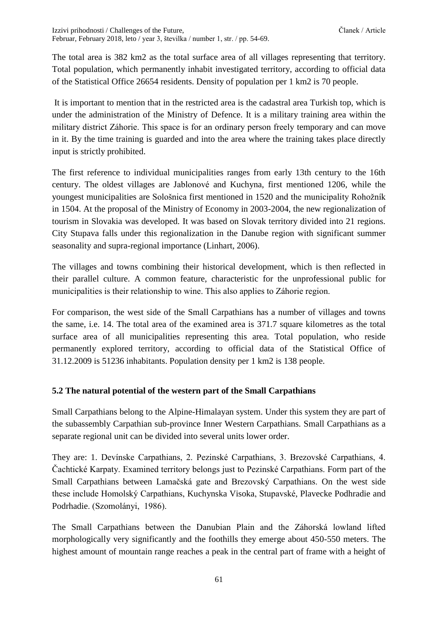The total area is 382 km2 as the total surface area of all villages representing that territory. Total population, which permanently inhabit investigated territory, according to official data of the Statistical Office 26654 residents. Density of population per 1 km2 is 70 people.

It is important to mention that in the restricted area is the cadastral area Turkish top, which is under the administration of the Ministry of Defence. It is a military training area within the military district Záhorie. This space is for an ordinary person freely temporary and can move in it. By the time training is guarded and into the area where the training takes place directly input is strictly prohibited.

The first reference to individual municipalities ranges from early 13th century to the 16th century. The oldest villages are Jablonové and Kuchyna, first mentioned 1206, while the youngest municipalities are Sološnica first mentioned in 1520 and the municipality Rohožník in 1504. At the proposal of the Ministry of Economy in 2003-2004, the new regionalization of tourism in Slovakia was developed. It was based on Slovak territory divided into 21 regions. City Stupava falls under this regionalization in the Danube region with significant summer seasonality and supra-regional importance (Linhart, 2006).

The villages and towns combining their historical development, which is then reflected in their parallel culture. A common feature, characteristic for the unprofessional public for municipalities is their relationship to wine. This also applies to Záhorie region.

For comparison, the west side of the Small Carpathians has a number of villages and towns the same, i.e. 14. The total area of the examined area is 371.7 square kilometres as the total surface area of all municipalities representing this area. Total population, who reside permanently explored territory, according to official data of the Statistical Office of 31.12.2009 is 51236 inhabitants. Population density per 1 km2 is 138 people.

#### **5.2 The natural potential of the western part of the Small Carpathians**

Small Carpathians belong to the Alpine-Himalayan system. Under this system they are part of the subassembly Carpathian sub-province Inner Western Carpathians. Small Carpathians as a separate regional unit can be divided into several units lower order.

They are: 1. Devínske Carpathians, 2. Pezinské Carpathians, 3. Brezovské Carpathians, 4. Čachtické Karpaty. Examined territory belongs just to Pezinské Carpathians. Form part of the Small Carpathians between Lamačská gate and Brezovský Carpathians. On the west side these include Homolský Carpathians, Kuchynska Visoka, Stupavské, Plavecke Podhradie and Podrhadie. (Szomolányi, 1986).

The Small Carpathians between the Danubian Plain and the Záhorská lowland lifted morphologically very significantly and the foothills they emerge about 450-550 meters. The highest amount of mountain range reaches a peak in the central part of frame with a height of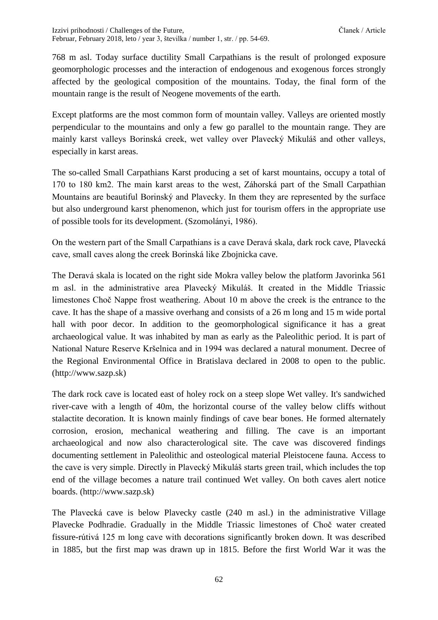Izzivi prihodnosti / Challenges of the Future, Clanek / Article Clanek / Article Februar, February 2018, leto / year 3, številka / number 1, str. / pp. 54-69.

768 m asl. Today surface ductility Small Carpathians is the result of prolonged exposure geomorphologic processes and the interaction of endogenous and exogenous forces strongly affected by the geological composition of the mountains. Today, the final form of the mountain range is the result of Neogene movements of the earth.

Except platforms are the most common form of mountain valley. Valleys are oriented mostly perpendicular to the mountains and only a few go parallel to the mountain range. They are mainly karst valleys Borinská creek, wet valley over Plavecký Mikuláš and other valleys, especially in karst areas.

The so-called Small Carpathians Karst producing a set of karst mountains, occupy a total of 170 to 180 km2. The main karst areas to the west, Záhorská part of the Small Carpathian Mountains are beautiful Borinský and Plavecky. In them they are represented by the surface but also underground karst phenomenon, which just for tourism offers in the appropriate use of possible tools for its development. (Szomolányi, 1986).

On the western part of the Small Carpathians is a cave Deravá skala, dark rock cave, Plavecká cave, small caves along the creek Borinská like Zbojnicka cave.

The Deravá skala is located on the right side Mokra valley below the platform Javorinka 561 m asl. in the administrative area Plavecký Mikuláš. It created in the Middle Triassic limestones Choč Nappe frost weathering. About 10 m above the creek is the entrance to the cave. It has the shape of a massive overhang and consists of a 26 m long and 15 m wide portal hall with poor decor. In addition to the geomorphological significance it has a great archaeological value. It was inhabited by man as early as the Paleolithic period. It is part of National Nature Reserve Kršelnica and in 1994 was declared a natural monument. Decree of the Regional Environmental Office in Bratislava declared in 2008 to open to the public. (http://www.sazp.sk)

The dark rock cave is located east of holey rock on a steep slope Wet valley. It's sandwiched river-cave with a length of 40m, the horizontal course of the valley below cliffs without stalactite decoration. It is known mainly findings of cave bear bones. He formed alternately corrosion, erosion, mechanical weathering and filling. The cave is an important archaeological and now also characterological site. The cave was discovered findings documenting settlement in Paleolithic and osteological material Pleistocene fauna. Access to the cave is very simple. Directly in Plavecký Mikuláš starts green trail, which includes the top end of the village becomes a nature trail continued Wet valley. On both caves alert notice boards. (http://www.sazp.sk)

The Plavecká cave is below Plavecky castle (240 m asl.) in the administrative Village Plavecke Podhradie. Gradually in the Middle Triassic limestones of Choč water created fissure-rútivá 125 m long cave with decorations significantly broken down. It was described in 1885, but the first map was drawn up in 1815. Before the first World War it was the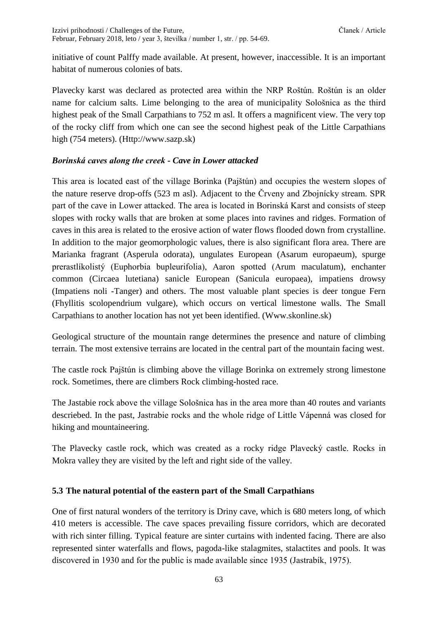initiative of count Palffy made available. At present, however, inaccessible. It is an important habitat of numerous colonies of bats.

Plavecky karst was declared as protected area within the NRP Roštún. Roštún is an older name for calcium salts. Lime belonging to the area of municipality Sološnica as the third highest peak of the Small Carpathians to 752 m asl. It offers a magnificent view. The very top of the rocky cliff from which one can see the second highest peak of the Little Carpathians high (754 meters). (Http://www.sazp.sk)

#### *Borinská caves along the creek - Cave in Lower attacked*

This area is located east of the village Borinka (Pajštún) and occupies the western slopes of the nature reserve drop-offs (523 m asl). Adjacent to the Črveny and Zbojnícky stream. SPR part of the cave in Lower attacked. The area is located in Borinská Karst and consists of steep slopes with rocky walls that are broken at some places into ravines and ridges. Formation of caves in this area is related to the erosive action of water flows flooded down from crystalline. In addition to the major geomorphologic values, there is also significant flora area. There are Marianka fragrant (Asperula odorata), ungulates European (Asarum europaeum), spurge prerastlíkolistý (Euphorbia bupleurifolia), Aaron spotted (Arum maculatum), enchanter common (Circaea lutetiana) sanicle European (Sanicula europaea), impatiens drowsy (Impatiens noli -Tanger) and others. The most valuable plant species is deer tongue Fern (Fhyllitis scolopendrium vulgare), which occurs on vertical limestone walls. The Small Carpathians to another location has not yet been identified. (Www.skonline.sk)

Geological structure of the mountain range determines the presence and nature of climbing terrain. The most extensive terrains are located in the central part of the mountain facing west.

The castle rock Pajštún is climbing above the village Borinka on extremely strong limestone rock. Sometimes, there are climbers Rock climbing-hosted race.

The Jastabie rock above the village Sološnica has in the area more than 40 routes and variants descriebed. In the past, Jastrabie rocks and the whole ridge of Little Vápenná was closed for hiking and mountaineering.

The Plavecky castle rock, which was created as a rocky ridge Plavecký castle. Rocks in Mokra valley they are visited by the left and right side of the valley.

#### **5.3 The natural potential of the eastern part of the Small Carpathians**

One of first natural wonders of the territory is Driny cave, which is 680 meters long, of which 410 meters is accessible. The cave spaces prevailing fissure corridors, which are decorated with rich sinter filling. Typical feature are sinter curtains with indented facing. There are also represented sinter waterfalls and flows, pagoda-like stalagmites, stalactites and pools. It was discovered in 1930 and for the public is made available since 1935 (Jastrabík, 1975).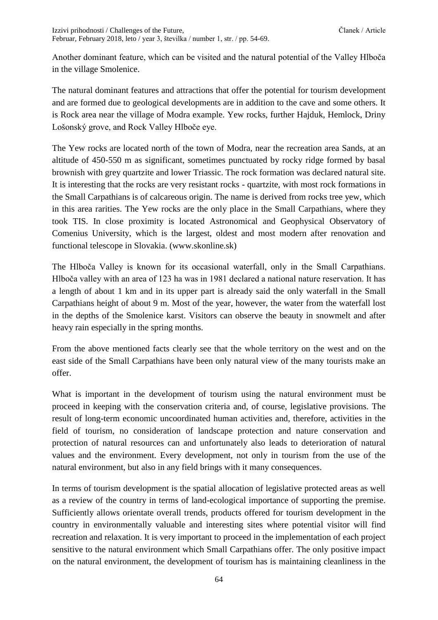Another dominant feature, which can be visited and the natural potential of the Valley Hlboča in the village Smolenice.

The natural dominant features and attractions that offer the potential for tourism development and are formed due to geological developments are in addition to the cave and some others. It is Rock area near the village of Modra example. Yew rocks, further Hajduk, Hemlock, Driny Lošonský grove, and Rock Valley Hlboče eye.

The Yew rocks are located north of the town of Modra, near the recreation area Sands, at an altitude of 450-550 m as significant, sometimes punctuated by rocky ridge formed by basal brownish with grey quartzite and lower Triassic. The rock formation was declared natural site. It is interesting that the rocks are very resistant rocks - quartzite, with most rock formations in the Small Carpathians is of calcareous origin. The name is derived from rocks tree yew, which in this area rarities. The Yew rocks are the only place in the Small Carpathians, where they took TIS. In close proximity is located Astronomical and Geophysical Observatory of Comenius University, which is the largest, oldest and most modern after renovation and functional telescope in Slovakia. (www.skonline.sk)

The Hlboča Valley is known for its occasional waterfall, only in the Small Carpathians. Hlboča valley with an area of 123 ha was in 1981 declared a national nature reservation. It has a length of about 1 km and in its upper part is already said the only waterfall in the Small Carpathians height of about 9 m. Most of the year, however, the water from the waterfall lost in the depths of the Smolenice karst. Visitors can observe the beauty in snowmelt and after heavy rain especially in the spring months.

From the above mentioned facts clearly see that the whole territory on the west and on the east side of the Small Carpathians have been only natural view of the many tourists make an offer.

What is important in the development of tourism using the natural environment must be proceed in keeping with the conservation criteria and, of course, legislative provisions. The result of long-term economic uncoordinated human activities and, therefore, activities in the field of tourism, no consideration of landscape protection and nature conservation and protection of natural resources can and unfortunately also leads to deterioration of natural values and the environment. Every development, not only in tourism from the use of the natural environment, but also in any field brings with it many consequences.

In terms of tourism development is the spatial allocation of legislative protected areas as well as a review of the country in terms of land-ecological importance of supporting the premise. Sufficiently allows orientate overall trends, products offered for tourism development in the country in environmentally valuable and interesting sites where potential visitor will find recreation and relaxation. It is very important to proceed in the implementation of each project sensitive to the natural environment which Small Carpathians offer. The only positive impact on the natural environment, the development of tourism has is maintaining cleanliness in the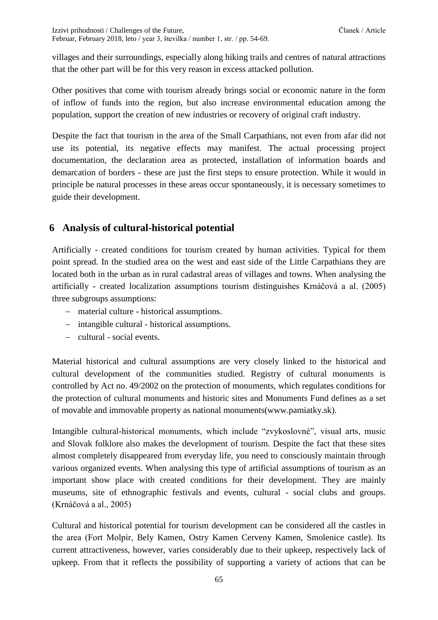Izzivi prihodnosti / Challenges of the Future, Clanek / Article Clanek / Article Februar, February 2018, leto / year 3, številka / number 1, str. / pp. 54-69.

villages and their surroundings, especially along hiking trails and centres of natural attractions that the other part will be for this very reason in excess attacked pollution.

Other positives that come with tourism already brings social or economic nature in the form of inflow of funds into the region, but also increase environmental education among the population, support the creation of new industries or recovery of original craft industry.

Despite the fact that tourism in the area of the Small Carpathians, not even from afar did not use its potential, its negative effects may manifest. The actual processing project documentation, the declaration area as protected, installation of information boards and demarcation of borders - these are just the first steps to ensure protection. While it would in principle be natural processes in these areas occur spontaneously, it is necessary sometimes to guide their development.

### **6 Analysis of cultural-historical potential**

Artificially - created conditions for tourism created by human activities. Typical for them point spread. In the studied area on the west and east side of the Little Carpathians they are located both in the urban as in rural cadastral areas of villages and towns. When analysing the artificially - created localization assumptions tourism distinguishes Krnáčová a al. (2005) three subgroups assumptions:

- material culture historical assumptions.
- intangible cultural historical assumptions.
- cultural social events.

Material historical and cultural assumptions are very closely linked to the historical and cultural development of the communities studied. Registry of cultural monuments is controlled by Act no. 49/2002 on the protection of monuments, which regulates conditions for the protection of cultural monuments and historic sites and Monuments Fund defines as a set of movable and immovable property as national monuments(www.pamiatky.sk).

Intangible cultural-historical monuments, which include "zvykoslovné", visual arts, music and Slovak folklore also makes the development of tourism. Despite the fact that these sites almost completely disappeared from everyday life, you need to consciously maintain through various organized events. When analysing this type of artificial assumptions of tourism as an important show place with created conditions for their development. They are mainly museums, site of ethnographic festivals and events, cultural - social clubs and groups. (Krnáčová a al., 2005)

Cultural and historical potential for tourism development can be considered all the castles in the area (Fort Molpír, Bely Kamen, Ostry Kamen Cerveny Kamen, Smolenice castle). Its current attractiveness, however, varies considerably due to their upkeep, respectively lack of upkeep. From that it reflects the possibility of supporting a variety of actions that can be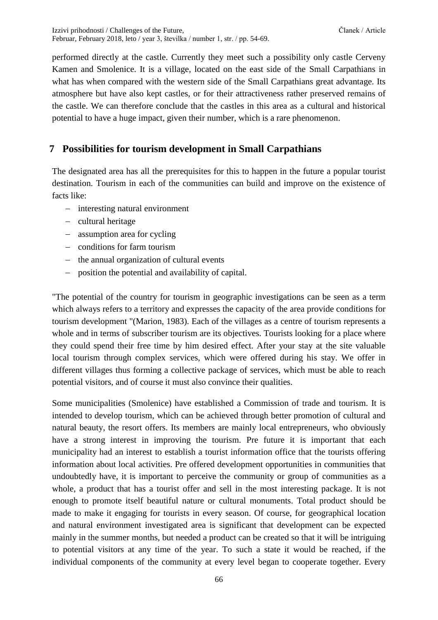performed directly at the castle. Currently they meet such a possibility only castle Cerveny Kamen and Smolenice. It is a village, located on the east side of the Small Carpathians in what has when compared with the western side of the Small Carpathians great advantage. Its atmosphere but have also kept castles, or for their attractiveness rather preserved remains of the castle. We can therefore conclude that the castles in this area as a cultural and historical potential to have a huge impact, given their number, which is a rare phenomenon.

### **7 Possibilities for tourism development in Small Carpathians**

The designated area has all the prerequisites for this to happen in the future a popular tourist destination. Tourism in each of the communities can build and improve on the existence of facts like:

- interesting natural environment
- $-$  cultural heritage
- assumption area for cycling
- conditions for farm tourism
- $-$  the annual organization of cultural events
- position the potential and availability of capital.

"The potential of the country for tourism in geographic investigations can be seen as a term which always refers to a territory and expresses the capacity of the area provide conditions for tourism development "(Marion, 1983). Each of the villages as a centre of tourism represents a whole and in terms of subscriber tourism are its objectives. Tourists looking for a place where they could spend their free time by him desired effect. After your stay at the site valuable local tourism through complex services, which were offered during his stay. We offer in different villages thus forming a collective package of services, which must be able to reach potential visitors, and of course it must also convince their qualities.

Some municipalities (Smolenice) have established a Commission of trade and tourism. It is intended to develop tourism, which can be achieved through better promotion of cultural and natural beauty, the resort offers. Its members are mainly local entrepreneurs, who obviously have a strong interest in improving the tourism. Pre future it is important that each municipality had an interest to establish a tourist information office that the tourists offering information about local activities. Pre offered development opportunities in communities that undoubtedly have, it is important to perceive the community or group of communities as a whole, a product that has a tourist offer and sell in the most interesting package. It is not enough to promote itself beautiful nature or cultural monuments. Total product should be made to make it engaging for tourists in every season. Of course, for geographical location and natural environment investigated area is significant that development can be expected mainly in the summer months, but needed a product can be created so that it will be intriguing to potential visitors at any time of the year. To such a state it would be reached, if the individual components of the community at every level began to cooperate together. Every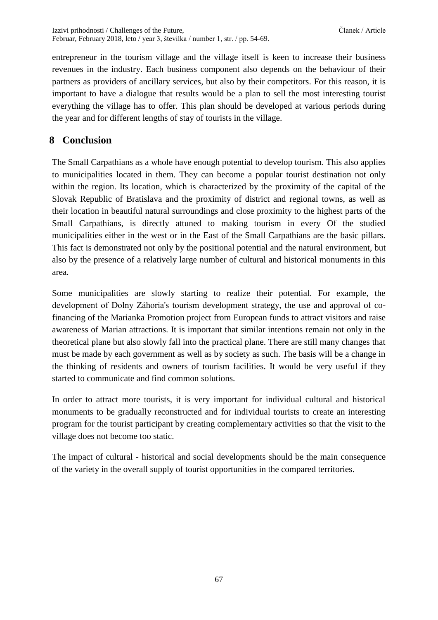entrepreneur in the tourism village and the village itself is keen to increase their business revenues in the industry. Each business component also depends on the behaviour of their partners as providers of ancillary services, but also by their competitors. For this reason, it is important to have a dialogue that results would be a plan to sell the most interesting tourist everything the village has to offer. This plan should be developed at various periods during the year and for different lengths of stay of tourists in the village.

### **8 Conclusion**

The Small Carpathians as a whole have enough potential to develop tourism. This also applies to municipalities located in them. They can become a popular tourist destination not only within the region. Its location, which is characterized by the proximity of the capital of the Slovak Republic of Bratislava and the proximity of district and regional towns, as well as their location in beautiful natural surroundings and close proximity to the highest parts of the Small Carpathians, is directly attuned to making tourism in every Of the studied municipalities either in the west or in the East of the Small Carpathians are the basic pillars. This fact is demonstrated not only by the positional potential and the natural environment, but also by the presence of a relatively large number of cultural and historical monuments in this area.

Some municipalities are slowly starting to realize their potential. For example, the development of Dolny Záhoria's tourism development strategy, the use and approval of cofinancing of the Marianka Promotion project from European funds to attract visitors and raise awareness of Marian attractions. It is important that similar intentions remain not only in the theoretical plane but also slowly fall into the practical plane. There are still many changes that must be made by each government as well as by society as such. The basis will be a change in the thinking of residents and owners of tourism facilities. It would be very useful if they started to communicate and find common solutions.

In order to attract more tourists, it is very important for individual cultural and historical monuments to be gradually reconstructed and for individual tourists to create an interesting program for the tourist participant by creating complementary activities so that the visit to the village does not become too static.

The impact of cultural - historical and social developments should be the main consequence of the variety in the overall supply of tourist opportunities in the compared territories.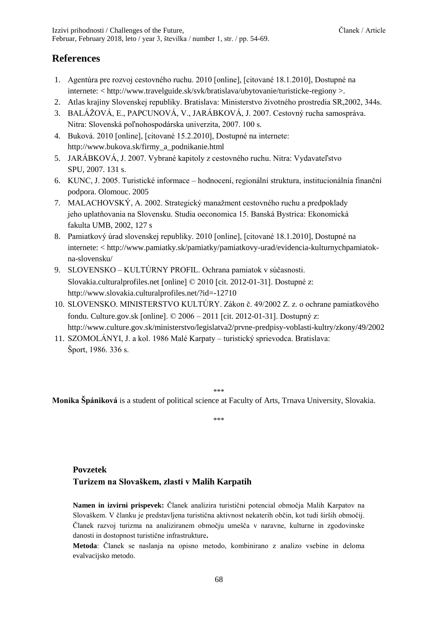#### **References**

- 1. Agentúra pre rozvoj cestovného ruchu. 2010 [online], [citované 18.1.2010], Dostupné na internete: < http://www.travelguide.sk/svk/bratislava/ubytovanie/turisticke-regiony >.
- 2. Atlas krajiny Slovenskej republiky. Bratislava: Ministerstvo životného prostredia SR,2002, 344s.
- 3. BALÁŽOVÁ, E., PAPCUNOVÁ, V., JARÁBKOVÁ, J. 2007. Cestovný rucha samospráva. Nitra: Slovenská poľnohospodárska univerzita, 2007. 100 s.
- 4. Buková. 2010 [online], [citované 15.2.2010], Dostupné na internete: http://www.bukova.sk/firmy\_a\_podnikanie.html
- 5. JARÁBKOVÁ, J. 2007. Vybrané kapitoly z cestovného ruchu. Nitra: Vydavateľstvo SPU, 2007. 131 s.
- 6. KUNC, J. 2005. Turistické informace hodnocení, regionální struktura, institucionálnía finanční podpora. Olomouc. 2005
- 7. MALACHOVSKÝ, A. 2002. Strategický manažment cestovného ruchu a predpoklady jeho uplatňovania na Slovensku. Studia oeconomica 15. Banská Bystrica: Ekonomická fakulta UMB, 2002, 127 s
- 8. Pamiatkový úrad slovenskej republiky. 2010 [online], [citované 18.1.2010], Dostupné na internete: < http://www.pamiatky.sk/pamiatky/pamiatkovy-urad/evidencia-kulturnychpamiatokna-slovensku/
- 9. SLOVENSKO KULTÚRNY PROFIL. Ochrana pamiatok v súčasnosti. Slovakia.culturalprofiles.net [online] © 2010 [cit. 2012-01-31]. Dostupné z: http://www.slovakia.culturalprofiles.net/?id=-12710
- 10. SLOVENSKO. MINISTERSTVO KULTÚRY. Zákon č. 49/2002 Z. z. o ochrane pamiatkového fondu. Culture.gov.sk [online].  $\odot$  2006 – 2011 [cit. 2012-01-31]. Dostupný z: http://www.culture.gov.sk/ministerstvo/legislatva2/prvne-predpisy-voblasti-kultry/zkony/49/2002
- 11. SZOMOLÁNYI, J. a kol. 1986 Malé Karpaty turistický sprievodca. Bratislava: Šport, 1986. 336 s.

\*\*\*

**Monika Špániková** is a student of political science at Faculty of Arts, Trnava University, Slovakia.

\*\*\*

#### **Povzetek**

#### **Turizem na Slovaškem, zlasti v Malih Karpatih**

**Namen in izvirni prispevek:** Članek analizira turistični potencial območja Malih Karpatov na Slovaškem. V članku je predstavljena turistična aktivnost nekaterih občin, kot tudi širših območij. Članek razvoj turizma na analiziranem območju umešča v naravne, kulturne in zgodovinske danosti in dostopnost turistične infrastrukture**.** 

**Metoda**: Članek se naslanja na opisno metodo, kombinirano z analizo vsebine in deloma evalvacijsko metodo.